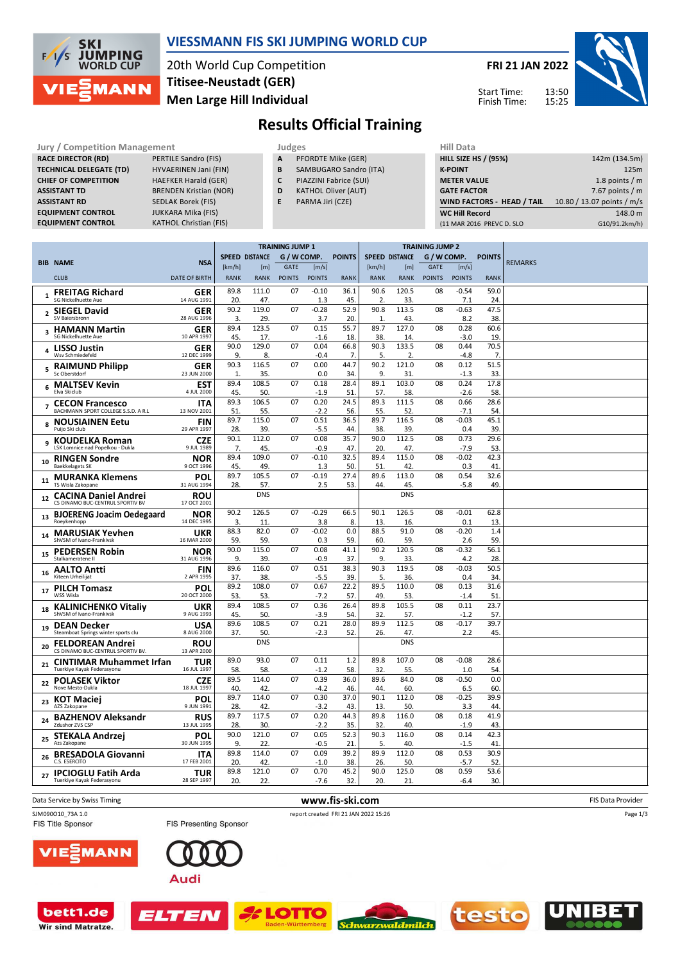

#### **VIESSMANN FIS SKI JUMPING WORLD CUP**

20th World Cup Competition **Men Large Hill Individual Titisee-Neustadt (GER)**

**FRI 21 JAN 2022**

15:25



13:50 Start Time: Finish Time:

### **Results Official Training**

**Jury / Competition Management Judges** Judges Hill Data<br> **RACE DIRECTOR (RD)** PERTILE Sandro (FIS) **A** PFORDTE Mike (GER) **HILL SIZE HILL SIZE RACE DIRECTOR (RD) TECHNICAL DELEGATE (TD)** HYVAERINEN Jani (FIN) **CHIEF OF COMPETITION** HAEFKER Harald (GER) **ASSISTANT TD** BRENDEN Kristian (NOR) **ASSISTANT RD** SEDLAK Borek (FIS)<br>**EQUIPMENT CONTROL** JUKKARA Mika (FIS) **EQUIPMENT CONTROL**<br>**EQUIPMENT CONTROL** 

**KATHOL Christian (FIS)** 

- **A** PFORDTE Mike (GER)
- **B** SAMBUGARO Sandro (ITA)
- **C** PIAZZINI Fabrice (SUI)
- **D** KATHOL Oliver (AUT)
- **E** PARMA Jiri (CZE)

| .                                 |                            |
|-----------------------------------|----------------------------|
| <b>HILL SIZE HS / (95%)</b>       | 142m (134.5m)              |
| <b>K-POINT</b>                    | 125m                       |
| <b>METER VALUE</b>                | 1.8 points $/m$            |
| <b>GATE FACTOR</b>                | 7.67 points $/m$           |
| <b>WIND FACTORS - HEAD / TAIL</b> | 10.80 / 13.07 points / m/s |
| <b>WC Hill Record</b>             | 148.0 m                    |
| (11 MAR 2016 PREVC D. SLO         | G10/91.2km/h)              |
|                                   |                            |

|                         |                                                                 |                           | <b>TRAINING JUMP 1</b> |                       |               |                   | <b>TRAINING JUMP 2</b> |                       |                  |               |                   |                        |                |
|-------------------------|-----------------------------------------------------------------|---------------------------|------------------------|-----------------------|---------------|-------------------|------------------------|-----------------------|------------------|---------------|-------------------|------------------------|----------------|
|                         | <b>BIB NAME</b>                                                 | <b>NSA</b>                |                        | <b>SPEED DISTANCE</b> | G / W COMP.   |                   | <b>POINTS</b>          | <b>SPEED DISTANCE</b> |                  | G / W COMP.   |                   | <b>POINTS</b>          | <b>REMARKS</b> |
|                         |                                                                 |                           | [km/h]                 | [m]                   | <b>GATE</b>   | [m/s]             |                        | [km/h]                | [ <sub>m</sub> ] | <b>GATE</b>   | [m/s]             |                        |                |
|                         | <b>CLUB</b>                                                     | <b>DATE OF BIRTH</b>      | <b>RANK</b>            | <b>RANK</b>           | <b>POINTS</b> | <b>POINTS</b>     | <b>RANK</b>            | <b>RANK</b>           | <b>RANK</b>      | <b>POINTS</b> | <b>POINTS</b>     | <b>RANK</b>            |                |
| $\mathbf{1}$            | <b>FREITAG Richard</b><br>SG Nickelhuette Aue                   | <b>GER</b><br>14 AUG 1991 | 89.8<br>20.            | 111.0<br>47.          | 07            | $-0.10$<br>1.3    | 36.1<br>45             | 90.6<br>2             | 120.5<br>33.     | 08            | $-0.54$<br>7.1    | 59.0<br>24             |                |
| $\overline{2}$          | <b>SIEGEL David</b>                                             | <b>GER</b>                | 90.2                   | 119.0                 | 07            | $-0.28$           | 52.9                   | 90.8                  | 113.5            | 08            | $-0.63$           | 47.5                   |                |
|                         | SV Baiersbronn                                                  | 28 AUG 1996               | 3.<br>89.4             | 29.<br>123.5          | 07            | 3.7<br>0.15       | 20<br>55.7             | 1.<br>89.7            | 43.<br>127.0     |               | 8.2<br>0.28       | 38<br>60.6             |                |
| $\overline{\mathbf{3}}$ | <b>HAMANN Martin</b><br><b>SG Nickelhuette Aue</b>              | <b>GER</b><br>10 APR 1997 | 45.                    | 17.                   |               | $-1.6$            | 18                     | 38.                   | 14.              | 08            | $-3.0$            | 19                     |                |
| 4                       | <b>LISSO Justin</b><br>Wsv Schmiedefeld                         | <b>GER</b><br>12 DEC 1999 | 90.0<br>9.             | 129.0<br>8.           | 07            | 0.04<br>$-0.4$    | 66.8<br>7.             | 90.3<br>5.            | 133.5<br>2.      | 08            | 0.44<br>$-4.8$    | 70.5<br>$\overline{7}$ |                |
| 5                       | <b>RAIMUND Philipp</b><br>Sc Oberstdorf                         | GER<br>23 JUN 2000        | 90.3<br>1.             | 116.5<br>35.          | 07            | 0.00<br>0.0       | 44.7<br>34             | 90.2<br>9.            | 121.0<br>31.     | 08            | 0.12<br>$-1.3$    | 51.5<br>33             |                |
| 6                       | <b>MALTSEV Kevin</b><br>Flya Skiclub                            | EST<br>4 JUL 2000         | 89.4<br>45.            | 108.5<br>50.          | 07            | 0.18<br>$-1.9$    | 28.4<br>51             | 89.1<br>57.           | 103.0<br>58.     | 08            | 0.24<br>$-2.6$    | 17.8<br>58             |                |
|                         | <b>CECON Francesco</b>                                          | ITA                       | 89.3                   | 106.5                 | 07            | 0.20              | 24.5                   | 89.3                  | 111.5            | 08            | 0.66              | 28.6                   |                |
|                         | BACHMANN SPORT COLLEGE S.S.D. A R.L                             | 13 NOV 2001               | 51.                    | 55.                   |               | $-2.2$            | 56                     | 55.                   | 52               |               | $-7.1$            | 54                     |                |
| 8                       | <b>NOUSIAINEN Eetu</b><br>Puijo Ski club                        | <b>FIN</b><br>29 APR 1997 | 89.7<br>28             | 115.0<br>39.          | 07            | 0.51<br>$-5.5$    | 36.5<br>44             | 89.7<br>38.           | 116.5<br>39      | 08            | $-0.03$<br>0.4    | 45.1<br>39             |                |
| 9                       | <b>KOUDELKA Roman</b>                                           | <b>CZE</b>                | 90.1                   | 112.0                 | 07            | 0.08              | 35.7                   | 90.0                  | 112.5            | 08            | 0.73              | 29.6                   |                |
|                         | LSK Lomnice nad Popelkou - Dukla                                | 9 JUL 1989                | 7 <sup>2</sup><br>89.4 | 45.<br>109.0          | 07            | $-0.9$<br>$-0.10$ | 47<br>32.5             | 20<br>89.4            | 47<br>115.0      | 08            | $-7.9$<br>$-0.02$ | 53<br>42.3             |                |
| 10                      | <b>RINGEN Sondre</b><br><b>Baekkelagets SK</b>                  | <b>NOR</b><br>9 OCT 1996  | 45                     | 49.                   |               | 1.3               | 50                     | 51                    | 42               |               | 0.3               | 41                     |                |
| 11                      | <b>MURANKA Klemens</b><br>TS Wisla Zakopane                     | POL<br>31 AUG 1994        | 89.7<br>28.            | 105.5<br>57.          | 07            | $-0.19$<br>2.5    | 27.4<br>53.            | 89.6<br>44.           | 113.0<br>45      | 08            | 0.54<br>$-5.8$    | 32.6<br>49             |                |
| 12                      | <b>CACINA Daniel Andrei</b><br>CS DINAMO BUC-CENTRUL SPORTIV BV | <b>ROU</b><br>17 OCT 2001 |                        | <b>DNS</b>            |               |                   |                        |                       | <b>DNS</b>       |               |                   |                        |                |
| 13                      | <b>BJOERENG Joacim Oedegaard</b><br>Roeykenhopp                 | <b>NOR</b><br>14 DEC 1995 | 90.2<br>3.             | 126.5<br>11.          | 07            | $-0.29$<br>3.8    | 66.5<br>8.             | 90.1<br>13.           | 126.5<br>16.     | 08            | $-0.01$<br>0.1    | 62.8<br>13             |                |
| 14                      | <b>MARUSIAK Yevhen</b><br>ShVSM of Ivano-Frankivsk              | <b>UKR</b><br>16 MAR 2000 | 88.3<br>59.            | 82.0<br>59.           | 07            | $-0.02$<br>0.3    | 0.0<br>59.             | 88.5<br>60.           | 91.0<br>59       | 08            | $-0.20$<br>2.6    | 1.4<br>59              |                |
| 15                      | <b>PEDERSEN Robin</b><br>Stalkameratene II                      | <b>NOR</b><br>31 AUG 1996 | 90.0<br>9.             | 115.0<br>39.          | 07            | 0.08<br>$-0.9$    | 41.1<br>37.            | 90.2<br>9.            | 120.5<br>33      | 08            | $-0.32$<br>4.2    | 56.1<br>28             |                |
| 16                      | <b>AALTO Antti</b><br>Kiteen Urheilijat                         | <b>FIN</b><br>2 APR 1995  | 89.6<br>37.            | 116.0<br>38.          | 07            | 0.51<br>$-5.5$    | 38.3<br>39.            | 90.3<br>5.            | 119.5<br>36.     | 08            | $-0.03$<br>0.4    | 50.5<br>34             |                |
| 17                      | <b>PILCH Tomasz</b><br>WSS Wisla                                | <b>POL</b><br>20 OCT 2000 | 89.2<br>53.            | 108.0<br>53.          | 07            | 0.67<br>$-7.2$    | 22.2<br>57.            | 89.5<br>49            | 110.0<br>53.     | 08            | 0.13<br>$-1.4$    | 31.6<br>51             |                |
| 18                      | <b>KALINICHENKO Vitaliy</b>                                     | UKR                       | 89.4                   | 108.5                 | 07            | 0.36              | 26.4                   | 89.8                  | 105.5            | 08            | 0.11              | 23.7                   |                |
|                         | ShVSM of Ivano-Frankivsk                                        | 9 AUG 1993                | 45.<br>89.6            | 50.<br>108.5          | 07            | $-3.9$<br>0.21    | 54<br>28.0             | 32.<br>89.9           | 57.<br>112.5     | 08            | $-1.2$<br>$-0.17$ | 57<br>39.7             |                |
| 19                      | <b>DEAN Decker</b><br>Steamboat Springs winter sports clu       | <b>USA</b><br>8 AUG 2000  | 37.                    | 50.                   |               | $-2.3$            | 52                     | 26.                   | 47               |               | 2.2               | 45                     |                |
| 20                      | <b>FELDOREAN Andrei</b><br>CS DINAMO BUC-CENTRUL SPORTIV BV.    | <b>ROU</b><br>13 APR 2000 |                        | <b>DNS</b>            |               |                   |                        |                       | <b>DNS</b>       |               |                   |                        |                |
| 21                      | <b>CINTIMAR Muhammet Irfan</b><br>Tuerkiye Kayak Federasyonu    | <b>TUR</b><br>16 JUL 1997 | 89.0<br>58.            | 93.0<br>58.           | 07            | 0.11<br>$-1.2$    | 1.2<br>58.             | 89.8<br>32.           | 107.0<br>55.     | 08            | $-0.08$<br>1.0    | 28.6<br>54             |                |
| 22                      | <b>POLASEK Viktor</b><br>Nove Mesto-Dukla                       | <b>CZE</b><br>18 JUL 1997 | 89.5<br>40             | 114.0<br>42.          | 07            | 0.39<br>$-4.2$    | 36.0<br>46.            | 89.6<br>44            | 84.0<br>60       | 08            | $-0.50$<br>6.5    | 0.0<br>60.             |                |
| 23                      | <b>KOT Maciei</b><br>AZS Zakopane                               | POL<br>9 JUN 1991         | 89.7<br>28             | 114.0<br>42.          | 07            | 0.30<br>$-3.2$    | 37.0<br>43.            | 90.1<br>13.           | 112.0<br>50.     | 08            | $-0.25$<br>3.3    | 39.9<br>44             |                |
| 24                      | <b>BAZHENOV Aleksandr</b><br>Zdushor ZVS CSP                    | <b>RUS</b><br>13 JUL 1995 | 89.7<br>28.            | 117.5<br>30.          | 07            | 0.20<br>$-2.2$    | 44.3<br>35.            | 89.8<br>32.           | 116.0<br>40.     | 08            | 0.18<br>$-1.9$    | 41.9<br>43             |                |
| 25                      | <b>STEKALA Andrzei</b><br>Azs Zakopane                          | <b>POL</b><br>30 JUN 1995 | 90.0<br>9.             | 121.0<br>22.          | 07            | 0.05<br>$-0.5$    | 52.3<br>21             | 90.3<br>5.            | 116.0<br>40.     | 08            | 0.14<br>$-1.5$    | 42.3<br>41             |                |
|                         | <b>BRESADOLA Giovanni</b>                                       | <b>ITA</b>                | 89.8                   | 114.0                 | 07            | 0.09              | 39.2                   | 89.9                  | 112.0            | 08            | 0.53              | 30.9                   |                |
| 26                      | C.S. ESERCITO                                                   | 17 FEB 2001               | 20.                    | 42.                   |               | $-1.0$            | 38.                    | 26.                   | 50.              |               | $-5.7$            | 52                     |                |
| 27                      | <b>IPCIOGLU Fatih Arda</b><br>Tuerkiye Kayak Federasyonu        | <b>TUR</b><br>28 SEP 1997 | 89.8<br>20.            | 121.0<br>22.          | 07            | 0.70<br>$-7.6$    | 45.2<br>32.            | 90.0<br>20.           | 125.0<br>21      | 08            | 0.59<br>$-6.4$    | 53.6<br>30.            |                |
|                         |                                                                 |                           |                        |                       |               |                   |                        |                       |                  |               |                   |                        |                |

Data Service by Swiss Timing **WWW.fis-Ski.com www.fis-ski.com WWW.fis-Ski.com FIS Data Provider** 

SJM090O10\_73A 1.0 report created FRI 21 JAN 2022 15:26 FIS Title Sponsor

/IE)

MANN



ELTEN



**OTTC** 







Page 1/3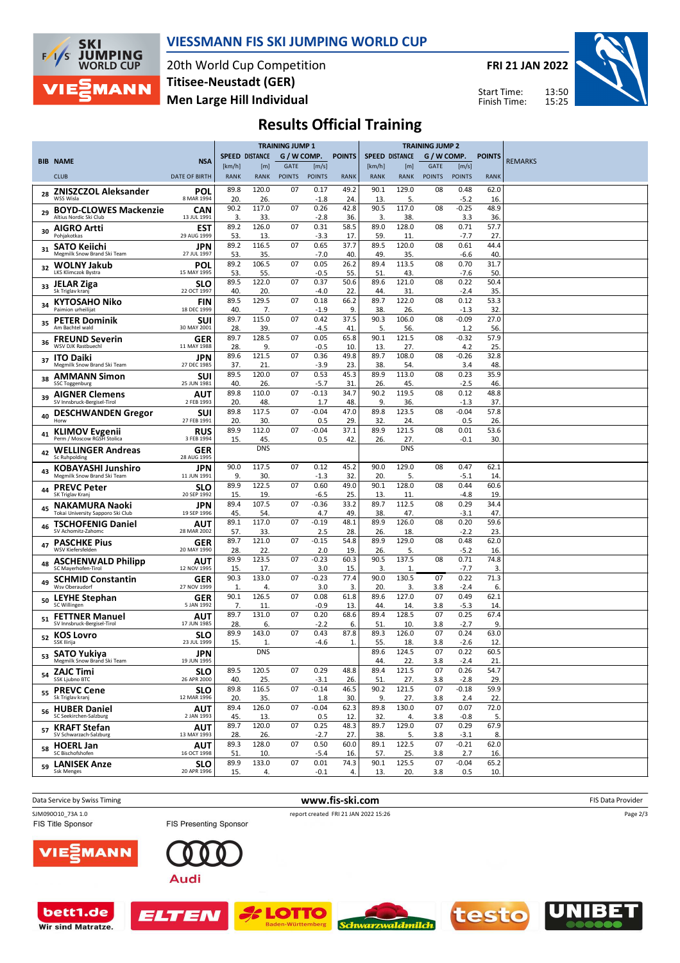

Wir sind Matratze.

#### **VIESSMANN FIS SKI JUMPING WORLD CUP**

20th World Cup Competition **Men Large Hill Individual Titisee-Neustadt (GER)**

**FRI 21 JAN 2022**

Start Time: Finish Time:



# **Results Official Training**

|    |                                                               |                           |                       |                       | <b>TRAINING JUMP 1</b>       |                        |               | <b>TRAINING JUMP 2</b> |                       |                              |                        |               |                |
|----|---------------------------------------------------------------|---------------------------|-----------------------|-----------------------|------------------------------|------------------------|---------------|------------------------|-----------------------|------------------------------|------------------------|---------------|----------------|
|    | <b>BIB NAME</b>                                               | <b>NSA</b>                |                       | <b>SPEED DISTANCE</b> | G / W COMP.                  |                        | <b>POINTS</b> |                        | <b>SPEED DISTANCE</b> | G / W COMP.                  |                        | <b>POINTS</b> | <b>REMARKS</b> |
|    | <b>CLUB</b>                                                   | <b>DATE OF BIRTH</b>      | [km/h]<br><b>RANK</b> | [m]<br>RANK           | <b>GATE</b><br><b>POINTS</b> | [m/s]<br><b>POINTS</b> | <b>RANK</b>   | [km/h]<br><b>RANK</b>  | [m]<br><b>RANK</b>    | <b>GATE</b><br><b>POINTS</b> | [m/s]<br><b>POINTS</b> | <b>RANK</b>   |                |
|    |                                                               |                           | 89.8                  | 120.0                 | 07                           | 0.17                   | 49.2          | 90.1                   | 129.0                 | 08                           | 0.48                   | 62.0          |                |
| 28 | <b>ZNISZCZOL Aleksander</b><br><b>WSS Wisla</b>               | POL<br>8 MAR 1994         | 20.                   | 26.                   |                              | $-1.8$                 | 24.           | 13.                    | 5.                    |                              | $-5.2$                 | 16.           |                |
| 29 | <b>BOYD-CLOWES Mackenzie</b><br>Altius Nordic Ski Club        | <b>CAN</b><br>13 JUL 1991 | 90.2<br>3.            | 117.0<br>33.          | 07                           | 0.26<br>$-2.8$         | 42.8<br>36.   | 90.5<br>3.             | 117.0<br>38.          | 08                           | $-0.25$<br>3.3         | 48.9<br>36.   |                |
| 30 | <b>AIGRO Artti</b><br>Pohjakotkas                             | EST<br>29 AUG 1999        | 89.2<br>53.           | 126.0<br>13.          | 07                           | 0.31<br>$-3.3$         | 58.5<br>17    | 89.0<br>59.            | 128.0<br>11           | 08                           | 0.71<br>$-7.7$         | 57.7<br>27    |                |
| 31 | <b>SATO Keiichi</b><br>Megmilk Snow Brand Ski Team            | <b>JPN</b><br>27 JUL 1997 | 89.2<br>53            | 116.5<br>35.          | 07                           | 0.65<br>$-7.0$         | 37.7<br>40.   | 89.5<br>49.            | 120.0<br>35.          | 08                           | 0.61<br>$-6.6$         | 44.4<br>40.   |                |
| 32 | <b>WOLNY Jakub</b><br><b>LKS Klimczok Bystra</b>              | POL<br>15 MAY 1995        | 89.2<br>53.           | 106.5<br>55.          | 07                           | 0.05<br>$-0.5$         | 26.2<br>55.   | 89.4<br>51             | 113.5<br>43           | 08                           | 0.70<br>$-7.6$         | 31.7<br>50.   |                |
| 33 | <b>JELAR Ziga</b><br>Sk Triglav kranj                         | <b>SLO</b><br>22 OCT 1997 | 89.5<br>40            | 122.0<br>20.          | 07                           | 0.37<br>$-4.0$         | 50.6<br>22.   | 89.6<br>44.            | 121.0<br>31           | 08                           | 0.22<br>$-2.4$         | 50.4<br>35    |                |
| 34 | <b>KYTOSAHO Niko</b><br>Paimion urheilijat                    | <b>FIN</b><br>18 DEC 1999 | 89.5<br>40.           | 129.5<br>7.           | 07                           | 0.18<br>$-1.9$         | 66.2<br>9.    | 89.7<br>38.            | 122.0<br>26.          | 08                           | 0.12<br>$-1.3$         | 53.3<br>32    |                |
| 35 | <b>PETER Dominik</b><br>Am Bachtel wald                       | SUI                       | 89.7                  | 115.0                 | 07                           | 0.42                   | 37.5          | 90.3                   | 106.0                 | 08                           | $-0.09$                | 27.0          |                |
| 36 | <b>FREUND Severin</b>                                         | 30 MAY 2001<br>GER        | 28.<br>89.7           | 39.<br>128.5          | 07                           | $-4.5$<br>0.05         | 41<br>65.8    | 5.<br>90.1             | 56.<br>121.5          | 08                           | 1.2<br>$-0.32$         | 56.<br>57.9   |                |
| 37 | WSV DJK Rastbuechl<br><b>ITO Daiki</b>                        | 11 MAY 1988<br><b>JPN</b> | 28<br>89.6            | 9.<br>121.5           | 07                           | $-0.5$<br>0.36         | 10.<br>49.8   | 13.<br>89.7            | 27.<br>108.0          | 08                           | 4.2<br>$-0.26$         | 25.<br>32.8   |                |
| 38 | Megmilk Snow Brand Ski Team<br><b>AMMANN Simon</b>            | 27 DEC 1985<br>SUI        | 37.<br>89.5           | 21.<br>120.0          | 07                           | $-3.9$<br>0.53         | 23.<br>45.3   | 38.<br>89.9            | 54.<br>113.0          | 08                           | 3.4<br>0.23            | 48.<br>35.9   |                |
| 39 | <b>SSC Toggenburg</b><br><b>AIGNER Clemens</b>                | 25 JUN 1981<br>AUT        | 40<br>89.8            | 26.<br>110.0          | 07                           | $-5.7$<br>$-0.13$      | 31.<br>34.7   | 26.<br>90.2            | 45.<br>119.5          | 08                           | $-2.5$<br>0.12         | 46.<br>48.8   |                |
| 40 | SV Innsbruck-Bergisel-Tirol<br><b>DESCHWANDEN Gregor</b>      | 2 FEB 1993<br>SUI         | 20.<br>89.8           | 48.<br>117.5          | 07                           | 1.7<br>$-0.04$         | 48.<br>47.0   | 9.<br>89.8             | 36.<br>123.5          | 08                           | $-1.3$<br>$-0.04$      | 37.<br>57.8   |                |
| 41 | Horw<br><b>KLIMOV Evgenii</b>                                 | 27 FEB 1991<br><b>RUS</b> | 20.<br>89.9           | 30.<br>112.0          | 07                           | 0.5<br>$-0.04$         | 29.<br>37.1   | 32.<br>89.9            | 24.<br>121.5          | 08                           | 0.5<br>0.01            | 26.<br>53.6   |                |
| 42 | Perm / Moscow RGSH Stolica<br><b>WELLINGER Andreas</b>        | 3 FEB 1994<br>GER         | 15.                   | 45.<br><b>DNS</b>     |                              | 0.5                    | 42.           | 26.                    | 27.<br><b>DNS</b>     |                              | $-0.1$                 | 30.           |                |
|    | Sc Ruhpolding<br><b>KOBAYASHI Junshiro</b>                    | 28 AUG 1995<br>JPN        | 90.0                  | 117.5                 | 07                           | 0.12                   | 45.2          | 90.0                   | 129.0                 | 08                           | 0.47                   | 62.1          |                |
| 44 | Megmilk Snow Brand Ski Team<br><b>PREVC Peter</b>             | 11 JUN 1991<br><b>SLO</b> | 9.<br>89.9            | 30.<br>122.5          | 07                           | $-1.3$<br>0.60         | 32.<br>49.0   | 20.<br>90.1            | 5.<br>128.0           | 08                           | $-5.1$<br>0.44         | 14<br>60.6    |                |
| 45 | SK Triglav Kranj<br><b>NAKAMURA Naoki</b>                     | 20 SEP 1992<br><b>JPN</b> | 15.<br>89.4           | 19.<br>107.5          | 07                           | $-6.5$<br>$-0.36$      | 25.<br>33.2   | 13.<br>89.7            | 11.<br>112.5          | 08                           | $-4.8$<br>0.29         | 19.<br>34.4   |                |
|    | Tokai University Sapporo Ski Club<br><b>TSCHOFENIG Daniel</b> | 19 SEP 1996<br>AUT        | 45.<br>89.1           | 54.<br>117.0          | 07                           | 4.7<br>$-0.19$         | 49.<br>48.1   | 38.<br>89.9            | 47<br>126.0           | 08                           | $-3.1$<br>0.20         | 47<br>59.6    |                |
| 46 | SV Achomitz-Zahomc                                            | 28 MAR 2002               | 57.<br>89.7           | 33.<br>121.0          | 07                           | 2.5<br>$-0.15$         | 28.<br>54.8   | 26.<br>89.9            | 18.<br>129.0          | 08                           | $-2.2$<br>0.48         | 23.<br>62.0   |                |
| 47 | <b>PASCHKE Pius</b><br>WSV Kiefersfelden                      | GER<br>20 MAY 1990        | 28.                   | 22.                   |                              | 2.0                    | 19.           | 26.                    | 5.                    |                              | $-5.2$                 | 16.           |                |
| 48 | <b>ASCHENWALD Philipp</b><br>SC Mayerhofen-Tirol              | AUT<br>12 NOV 1995        | 89.9<br>15.           | 123.5<br>17.          | 07                           | $-0.23$<br>3.0         | 60.3<br>15.   | 90.5<br>3.             | 137.5<br>1.           | 08                           | 0.71<br>$-7.7$         | 74.8<br>3.    |                |
| 49 | <b>SCHMID Constantin</b><br>Wsv Oberaudorf                    | GER<br>27 NOV 1999        | 90.3<br>1.            | 133.0<br>4.           | 07                           | $-0.23$<br>3.0         | 77.4<br>3.    | 90.0<br>20.            | 130.5<br>3.           | 07<br>3.8                    | 0.22<br>$-2.4$         | 71.3<br>6.    |                |
| 50 | <b>LEYHE Stephan</b><br>SC Willingen                          | GER<br>5 JAN 1992         | 90.1<br>7.            | 126.5<br>11           | 07                           | 0.08<br>$-0.9$         | 61.8<br>13.   | 89.6<br>44.            | 127.0<br>14           | 07<br>3.8                    | 0.49<br>$-5.3$         | 62.1<br>14    |                |
| 51 | <b>FETTNER Manuel</b><br>SV Innsbruck-Bergisel-Tirol          | AUT<br>17 JUN 1985        | 89.7<br>28            | 131.0<br>6.           | 07                           | 0.20<br>$-2.2$         | 68.6<br>6.    | 89.4<br>51             | 128.5<br>10.          | 07<br>3.8                    | 0.25<br>$-2.7$         | 67.4<br>9.    |                |
| 52 | <b>KOS Lovro</b><br>SSK Ilirija                               | <b>SLO</b><br>23 JUL 1999 | 89.9<br>15.           | 143.0<br>1.           | 07                           | 0.43<br>$-4.6$         | 87.8<br>1.    | 89.3<br>55.            | 126.0<br>18.          | 07<br>3.8                    | 0.24<br>$-2.6$         | 63.0<br>12.   |                |
| 53 | SATO Yukiya<br>Megmilk Snow Brand Ski Team                    | <b>JPN</b><br>19 JUN 1995 |                       | <b>DNS</b>            |                              |                        |               | 89.6<br>44.            | 124.5<br>22.          | 07<br>3.8                    | 0.22<br>$-2.4$         | 60.5<br>21    |                |
| 54 | <b>ZAJC Timi</b><br>SSK Ljubno BTC                            | <b>SLO</b><br>26 APR 2000 | 89.5<br>40.           | 120.5<br>25.          | 07                           | 0.29<br>$-3.1$         | 48.8<br>26.   | 89.4<br>51.            | 121.5<br>27.          | 07<br>3.8                    | 0.26<br>$-2.8$         | 54.7<br>29.   |                |
|    | <sub>55</sub> PREVC Cene<br>Sk Triglav kranj                  | <b>SLO</b><br>12 MAR 1996 | 89.8<br>20.           | 116.5<br>35.          | 07                           | $-0.14$<br>1.8         | 46.5<br>30.   | 90.2<br>9.             | 121.5<br>27.          | 07<br>3.8                    | $-0.18$<br>2.4         | 59.9<br>22.   |                |
| 56 | <b>HUBER Daniel</b><br>SC Seekirchen-Salzburg                 | <b>AUT</b><br>2 JAN 1993  | 89.4<br>45.           | 126.0<br>13.          | 07                           | $-0.04$<br>0.5         | 62.3<br>12.   | 89.8<br>32.            | 130.0<br>4.           | 07<br>3.8                    | 0.07<br>$-0.8$         | 72.0<br>5.    |                |
| 57 | <b>KRAFT Stefan</b><br>SV Schwarzach-Salzburg                 | AUT<br>13 MAY 1993        | 89.7<br>28            | 120.0<br>26.          | 07                           | 0.25<br>$-2.7$         | 48.3<br>27.   | 89.7<br>38.            | 129.0<br>5.           | 07<br>3.8                    | 0.29<br>$-3.1$         | 67.9<br>8.    |                |
| 58 | <b>HOERL Jan</b><br>SC Bischofshofen                          | AUT<br>16 OCT 1998        | 89.3<br>51.           | 128.0<br>10.          | 07                           | 0.50<br>$-5.4$         | 60.0<br>16.   | 89.1<br>57.            | 122.5<br>25.          | 07<br>3.8                    | $-0.21$<br>2.7         | 62.0<br>16.   |                |
| 59 | <b>LANISEK Anze</b><br><b>Ssk Menges</b>                      | <b>SLO</b><br>20 APR 1996 | 89.9                  | 133.0                 | 07                           | 0.01                   | 74.3          | 90.1                   | 125.5                 | 07                           | $-0.04$                | 65.2          |                |
|    |                                                               |                           | 15.                   | 4.                    |                              | $-0.1$                 | 4.            | 13.                    | 20.                   | 3.8                          | 0.5                    | 10.           |                |